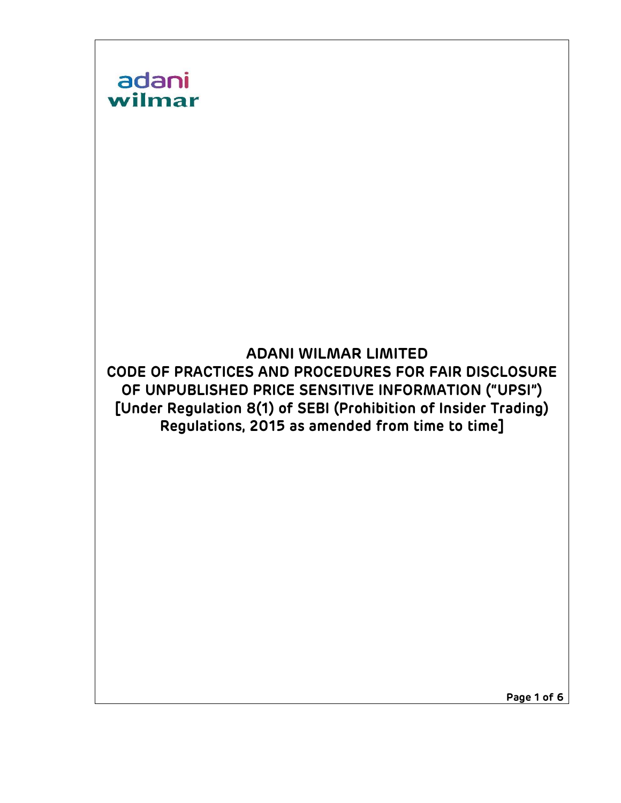

Page 1 of 6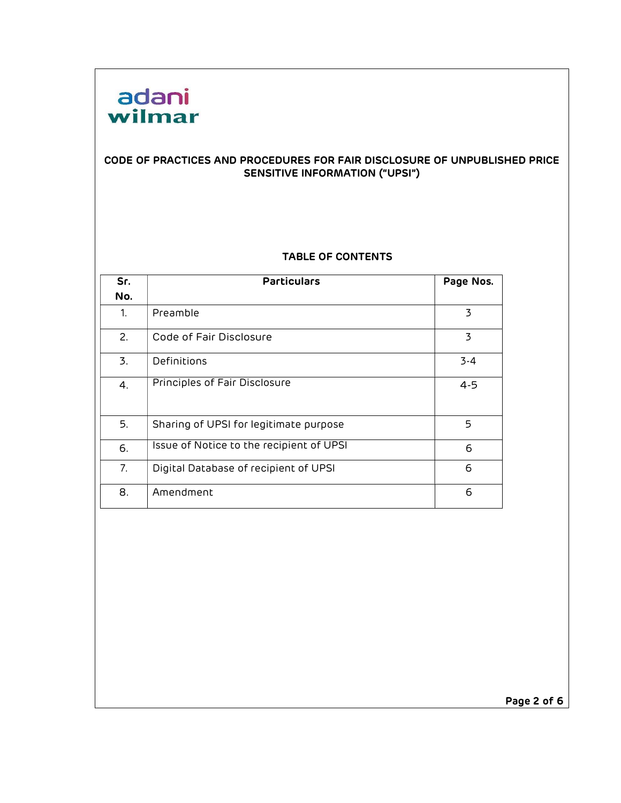

#### CODE OF PRACTICES AND PROCEDURES FOR FAIR DISCLOSURE OF UNPUBLISHED PRICE SENSITIVE INFORMATION ("UPSI")

#### TABLE OF CONTENTS

| Sr. | <b>Particulars</b>                       | Page Nos. |
|-----|------------------------------------------|-----------|
| No. |                                          |           |
| 1.  | Preamble                                 | 3         |
| 2.  | Code of Fair Disclosure                  | 3         |
| 3.  | Definitions                              | $3 - 4$   |
| 4.  | Principles of Fair Disclosure            | $4 - 5$   |
| 5.  | Sharing of UPSI for legitimate purpose   | 5         |
| 6.  | Issue of Notice to the recipient of UPSI | 6         |
| 7.  | Digital Database of recipient of UPSI    | 6         |
| 8.  | Amendment                                | 6         |

Page 2 of 6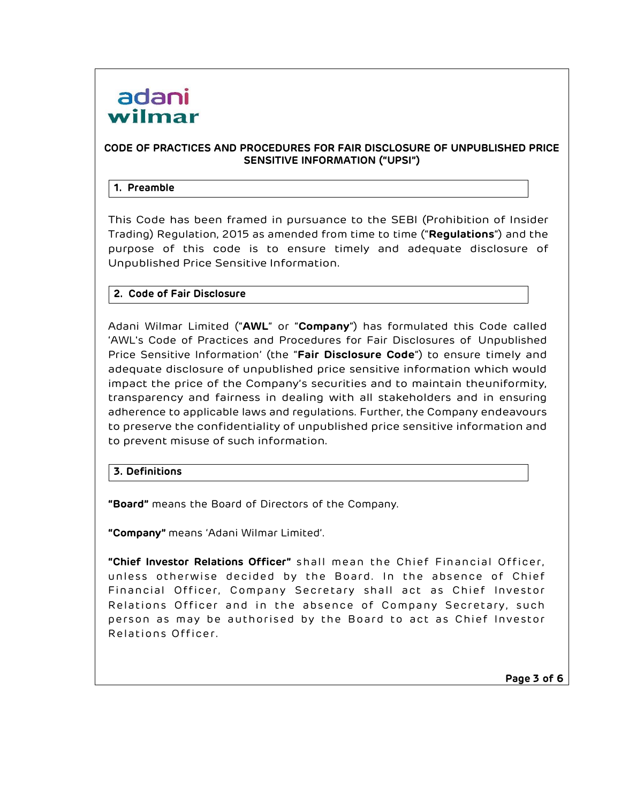

# CODE OF PRACTICES AND PROCEDURES FOR FAIR DISCLOSURE OF UNPUBLISHED PRICE SENSITIVE INFORMATION ("UPSI")

#### 1. Preamble

This Code has been framed in pursuance to the SEBI (Prohibition of Insider Trading) Regulation, 2015 as amended from time to time ("Regulations") and the purpose of this code is to ensure timely and adequate disclosure of Unpublished Price Sensitive Information.

#### 2. Code of Fair Disclosure

Adani Wilmar Limited ("AWL" or "Company") has formulated this Code called 'AWL's Code of Practices and Procedures for Fair Disclosures of Unpublished Price Sensitive Information' (the "Fair Disclosure Code") to ensure timely and adequate disclosure of unpublished price sensitive information which would impact the price of the Company's securities and to maintain the uniformity, transparency and fairness in dealing with all stakeholders and in ensuring adherence to applicable laws and regulations. Further, the Company endeavours to preserve the confidentiality of unpublished price sensitive information and to prevent misuse of such information.

#### 3. Definitions

"Board" means the Board of Directors of the Company.

"Company" means 'Adani Wilmar Limited'.

"Chief Investor Relations Officer" shall mean the Chief Financial Officer, unless otherwise decided by the Board. In the absence of Chief Financial Officer, Company Secretary shall act as Chief Investor Relations Officer and in the absence of Company Secretary, such person as may be authorised by the Board to act as Chief Investor Relations Officer.

Page 3 of 6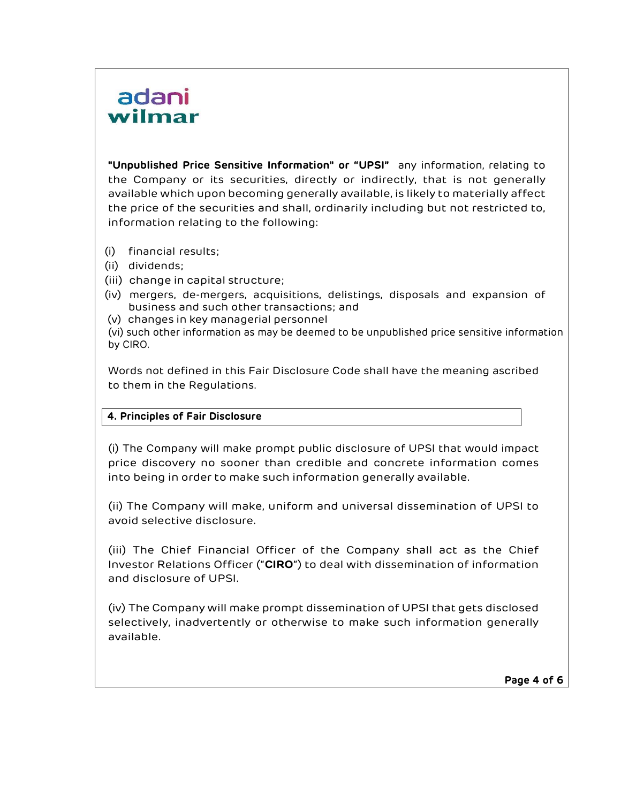# adani wilmar

"Unpublished Price Sensitive Information" or "UPSI" any information, relating to the Company or its securities, directly or indirectly, that is not generally available which upon becoming generally available, is likely to materially affect the price of the securities and shall, ordinarily including but not restricted to, information relating to the following:

- (i) financial results;
- (ii) dividends;
- (iii) change in capital structure;
- (iv) mergers, de-mergers, acquisitions, delistings, disposals and expansion of business and such other transactions; and
- (v) changes in key managerial personnel
- (vi) such other information as may be deemed to be unpublished price sensitive information by CIRO.

Words not defined in this Fair Disclosure Code shall have the meaning ascribed to them in the Regulations.

# 4. Principles of Fair Disclosure

(i) The Company will make prompt public disclosure of UPSI that would impact price discovery no sooner than credible and concrete information comes into being in order to make such information generally available.

(ii) The Company will make, uniform and universal dissemination of UPSI to avoid selective disclosure.

(iii) The Chief Financial Officer of the Company shall act as the Chief Investor Relations Officer ("CIRO") to deal with dissemination of information and disclosure of UPSI.

(iv) The Company will make prompt dissemination of UPSI that gets disclosed selectively, inadvertently or otherwise to make such information generally available.

Page 4 of 6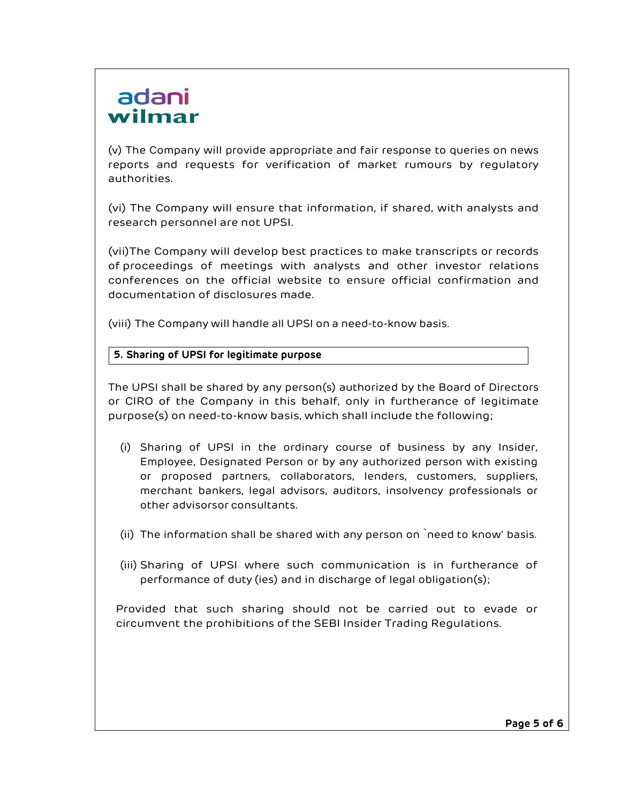# adani wilmar

(v) The Company will provide appropriate and fair response to queries on news reports and requests for verification of market rumours by regulatory authorities.

(vi) The Company will ensure that information, if shared, with analysts and research personnel are not UPSI.

(vii)The Company will develop best practices to make transcripts or records of proceedings of meetings with analysts and other investor relations conferences on the official website to ensure official confirmation and documentation of disclosures made.

(viii) The Company will handle all UPSI on a need-to-know basis.

# 5. Sharing of UPSI for legitimate purpose

The UPSI shall be shared by any person(s) authorized by the Board of Directors or CIRO of the Company in this behalf, only in furtherance of legitimate purpose(s) on need-to-know basis, which shall include the following;

- (i) Sharing of UPSI in the ordinary course of business by any Insider, Employee, Designated Person or by any authorized person with existing or proposed partners, collaborators, lenders, customers, suppliers, merchant bankers, legal advisors, auditors, insolvency professionals or other advisors or consultants.
- (ii) The information shall be shared with any person on `need to know' basis.
- (iii) Sharing of UPSI where such communication is in furtherance of performance of duty (ies) and in discharge of legal obligation(s);

Provided that such sharing should not be carried out to evade or circumvent the prohibitions of the SEBI Insider Trading Regulations.